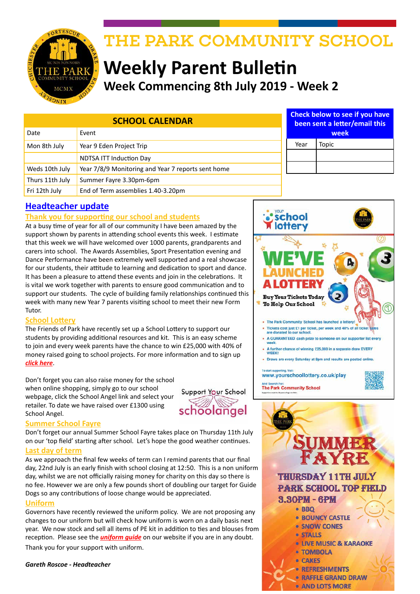

# THE PARK COMMUNITY SCHOOL

# **Weekly Parent Bulletin Week Commencing 8th July 2019 - Week 2**

| <b>SCHOOL CALENDAR</b><br>Event<br>Date |                                                    | <b>Check below to see if you have</b><br>been sent a letter/email this<br>week |       |
|-----------------------------------------|----------------------------------------------------|--------------------------------------------------------------------------------|-------|
| Mon 8th July                            | Year 9 Eden Project Trip                           | Year                                                                           | Topic |
|                                         |                                                    |                                                                                |       |
|                                         | <b>NDTSA ITT Induction Day</b>                     |                                                                                |       |
| Weds 10th July                          | Year 7/8/9 Monitoring and Year 7 reports sent home |                                                                                |       |
| Thurs 11th July                         | Summer Fayre 3.30pm-6pm                            |                                                                                |       |
| Fri 12th July                           | End of Term assemblies 1.40-3.20pm                 |                                                                                |       |

# **Headteacher update**

## **Thank you for supporting our school and students**

At a busy time of year for all of our community I have been amazed by the support shown by parents in attending school events this week. I estimate that this week we will have welcomed over 1000 parents, grandparents and carers into school. The Awards Assemblies, Sport Presentation evening and Dance Performance have been extremely well supported and a real showcase for our students, their attitude to learning and dedication to sport and dance. It has been a pleasure to attend these events and join in the celebrations. It is vital we work together with parents to ensure good communication and to support our students. The cycle of building family relationships continued this week with many new Year 7 parents visiting school to meet their new Form Tutor.

### **School Lottery**

The Friends of Park have recently set up a School Lottery to support our students by providing additional resources and kit. This is an easy scheme to join and every week parents have the chance to win £25,000 with 40% of money raised going to school projects. For more information and to sign up *[click here](https://www.yourschoollottery.co.uk/lottery/school/the-park-community-school)*.

Don't forget you can also raise money for the school when online shopping, simply go to our school webpage, click the School Angel link and select your retailer. To date we have raised over £1300 using School Angel.



### **Summer School Fayre**

Don't forget our annual Summer School Fayre takes place on Thursday 11th July on our 'top field' starting after school. Let's hope the good weather continues.

## **Last day of term**

As we approach the final few weeks of term can I remind parents that our final day, 22nd July is an early finish with school closing at 12:50. This is a non uniform day, whilst we are not officially raising money for charity on this day so there is no fee. However we are only a few pounds short of doubling our target for Guide Dogs so any contributions of loose change would be appreciated.

### **Uniform**

Governors have recently reviewed the uniform policy. We are not proposing any changes to our uniform but will check how uniform is worn on a daily basis next year. We now stock and sell all items of PE kit in addition to ties and blouses from reception. Please see the *[uniform guide](http://www.theparkschool.org.uk/policies/parental/Uniform-Policy.pdf)* on our website if you are in any doubt. Thank you for your support with uniform.

*Gareth Roscoe - Headteacher*



**THURSDAY 11TH JULY PARK SCHOOL TOP FIELD 8.80РМ - 6РМ** 

- · BBQ
- **BOUNCY CASTLE** · SNOW CONES
- **STALLS**
- 
- **LIVE MUSIC & KARAOKE**
- · TOMBOLA
- **CAKES**
- **REFRESHMENTS** 
	- **RAFFLE GRAND DRAW**
	- **AND LOTS MORE**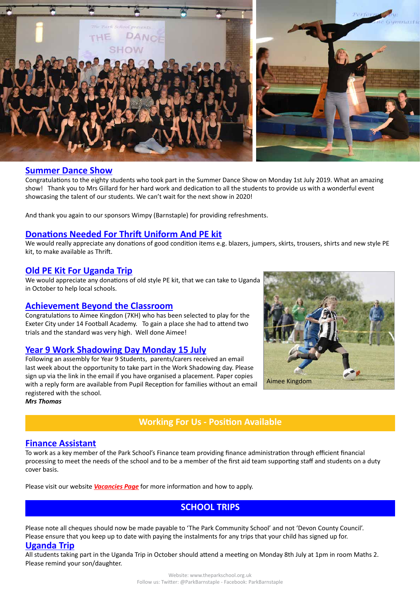

## **Summer Dance Show**

Congratulations to the eighty students who took part in the Summer Dance Show on Monday 1st July 2019. What an amazing show! Thank you to Mrs Gillard for her hard work and dedication to all the students to provide us with a wonderful event showcasing the talent of our students. We can't wait for the next show in 2020!

And thank you again to our sponsors Wimpy (Barnstaple) for providing refreshments.

## **Donations Needed For Thrift Uniform And PE kit**

We would really appreciate any donations of good condition items e.g. blazers, jumpers, skirts, trousers, shirts and new style PE kit, to make available as Thrift.

#### **Old PE Kit For Uganda Trip**

We would appreciate any donations of old style PE kit, that we can take to Uganda in October to help local schools.

## **Achievement Beyond the Classroom**

Congratulations to Aimee Kingdon (7KH) who has been selected to play for the Exeter City under 14 Football Academy. To gain a place she had to attend two trials and the standard was very high. Well done Aimee!

### **Year 9 Work Shadowing Day Monday 15 July**

Following an assembly for Year 9 Students, parents/carers received an email last week about the opportunity to take part in the Work Shadowing day. Please sign up via the link in the email if you have organised a placement. Paper copies with a reply form are available from Pupil Reception for families without an email registered with the school.

*Mrs Thomas*

## **Working For Us - Position Available**

#### **Finance Assistant**

To work as a key member of the Park School's Finance team providing finance administration through efficient financial processing to meet the needs of the school and to be a member of the first aid team supporting staff and students on a duty cover basis.

Please visit our website *[Vacancies Page](http://www.theparkschool.org.uk/working-for-us)* for more information and how to apply.

## **SCHOOL TRIPS**

Please note all cheques should now be made payable to 'The Park Community School' and not 'Devon County Council'. Please ensure that you keep up to date with paying the instalments for any trips that your child has signed up for. **Uganda Trip**

All students taking part in the Uganda Trip in October should attend a meeting on Monday 8th July at 1pm in room Maths 2. Please remind your son/daughter.